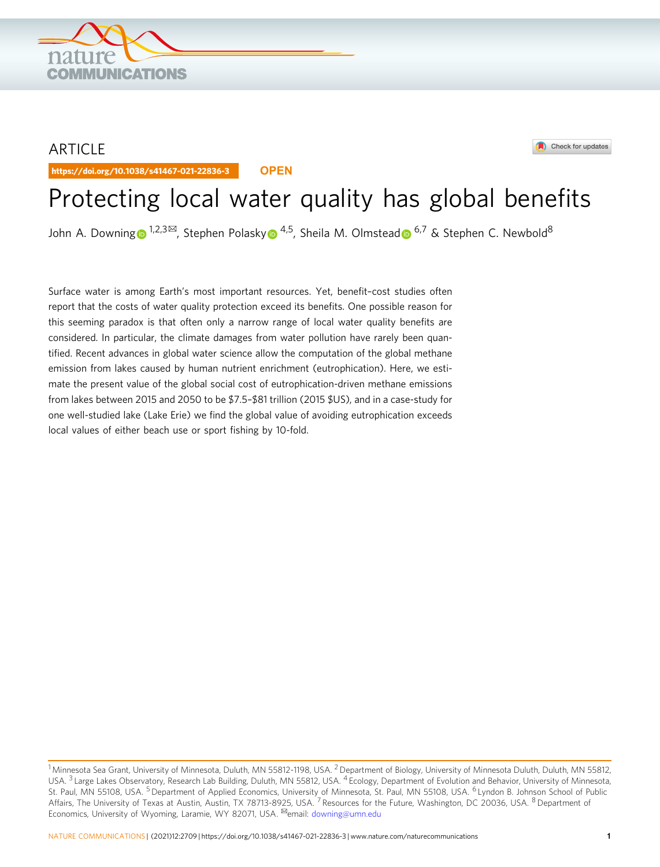## ARTICLE

https://doi.org/10.1038/s41467-021-22836-3 **OPEN**

**OMMUNICATIONS** 



# Protecting local water quality has global benefits

John A. Downin[g](http://orcid.org/0000-0001-8547-0789)  $\bullet$  [1](http://orcid.org/0000-0001-8547-0789),2,3 $\text{M}$ , Stephen Polask[y](http://orcid.org/0000-0003-4934-2434)  $\bullet$  [4](http://orcid.org/0000-0003-4934-2434),5, Sheila M. Olmstea[d](http://orcid.org/0000-0002-9572-943X)  $\bullet$  [6](http://orcid.org/0000-0002-9572-943X),7 & Stephen C. Newbold<sup>8</sup>

Surface water is among Earth's most important resources. Yet, benefit–cost studies often report that the costs of water quality protection exceed its benefits. One possible reason for this seeming paradox is that often only a narrow range of local water quality benefits are considered. In particular, the climate damages from water pollution have rarely been quantified. Recent advances in global water science allow the computation of the global methane emission from lakes caused by human nutrient enrichment (eutrophication). Here, we estimate the present value of the global social cost of eutrophication-driven methane emissions from lakes between 2015 and 2050 to be \$7.5–\$81 trillion (2015 \$US), and in a case-study for one well-studied lake (Lake Erie) we find the global value of avoiding eutrophication exceeds local values of either beach use or sport fishing by 10-fold.

 $1$  Minnesota Sea Grant, University of Minnesota, Duluth, MN 55812-1198, USA.  $2$  Department of Biology, University of Minnesota Duluth, Duluth, MN 55812, USA. <sup>3</sup> Large Lakes Observatory, Research Lab Building, Duluth, MN 55812, USA. <sup>4</sup> Ecology, Department of Evolution and Behavior, University of Minnesota, St. Paul, MN 55108, USA. <sup>5</sup> Department of Applied Economics, University of Minnesota, St. Paul, MN 55108, USA. <sup>6</sup> Lyndon B. Johnson School of Public Affairs, The University of Texas at Austin, Austin, TX 78713-8925, USA. <sup>7</sup> Resources for the Future, Washington, DC 20036, USA. <sup>8</sup> Department of Economics, University of Wyoming, Laramie, WY 82071, USA. <sup>⊠</sup>email: [downing@umn.edu](mailto:downing@umn.edu)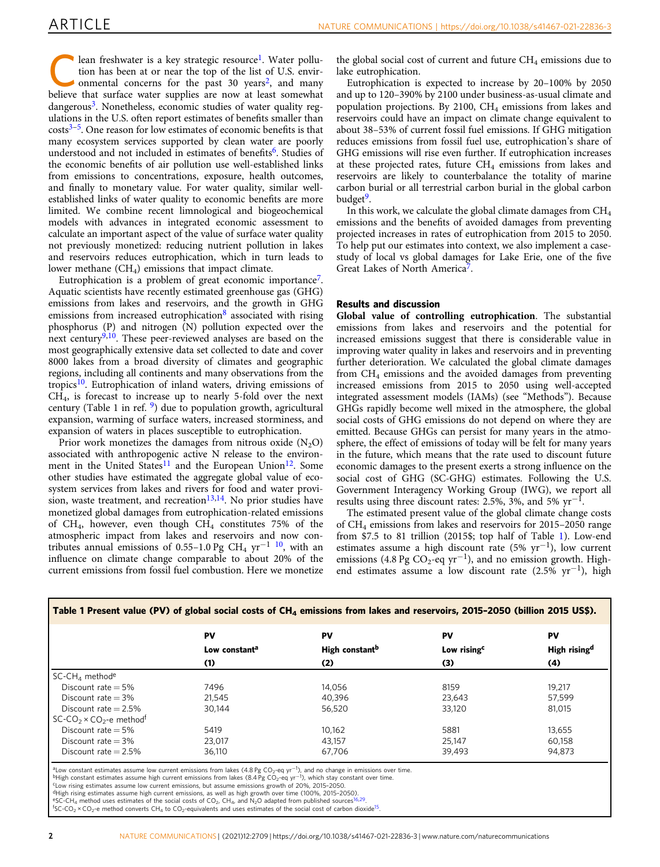<span id="page-1-0"></span>Lean freshwater is a key strategic resource<sup>[1](#page-4-0)</sup>. Water pollution has been at or near the top of the list of U.S. environmental concerns for the past 30 years<sup>[2](#page-4-0)</sup>, and many tion has been at or near the top of the list of U.S. envirbelieve that surface water supplies are now at least somewhat dangerous<sup>[3](#page-4-0)</sup>. Nonetheless, economic studies of water quality regulations in the U.S. often report estimates of benefits smaller than  $\text{costs}^{3-5}$  $\text{costs}^{3-5}$  $\text{costs}^{3-5}$  $\text{costs}^{3-5}$  $\text{costs}^{3-5}$ . One reason for low estimates of economic benefits is that many ecosystem services supported by clean water are poorly understood and not included in estimates of benefits<sup>[6](#page-4-0)</sup>. Studies of the economic benefits of air pollution use well-established links from emissions to concentrations, exposure, health outcomes, and finally to monetary value. For water quality, similar wellestablished links of water quality to economic benefits are more limited. We combine recent limnological and biogeochemical models with advances in integrated economic assessment to calculate an important aspect of the value of surface water quality not previously monetized: reducing nutrient pollution in lakes and reservoirs reduces eutrophication, which in turn leads to lower methane  $(CH<sub>4</sub>)$  emissions that impact climate.

Eutrophication is a problem of great economic importance<sup>7</sup>. Aquatic scientists have recently estimated greenhouse gas (GHG) emissions from lakes and reservoirs, and the growth in GHG emissions from increased eutrophication $\delta$  associated with rising phosphorus (P) and nitrogen (N) pollution expected over the next century<sup>9,10</sup>. These peer-reviewed analyses are based on the most geographically extensive data set collected to date and cover 8000 lakes from a broad diversity of climates and geographic regions, including all continents and many observations from the tropics<sup>10</sup>. Eutrophication of inland waters, driving emissions of CH4, is forecast to increase up to nearly 5-fold over the next century (Table 1 in ref.  $9$ ) due to population growth, agricultural expansion, warming of surface waters, increased storminess, and expansion of waters in places susceptible to eutrophication.

Prior work monetizes the damages from nitrous oxide  $(N_2O)$ associated with anthropogenic active N release to the environ-ment in the United States<sup>[11](#page-4-0)</sup> and the European Union<sup>12</sup>. Some other studies have estimated the aggregate global value of ecosystem services from lakes and rivers for food and water provi-sion, waste treatment, and recreation<sup>[13,14](#page-4-0)</sup>. No prior studies have monetized global damages from eutrophication-related emissions of CH<sub>4</sub>, however, even though  $CH_4$  constitutes 75% of the atmospheric impact from lakes and reservoirs and now con-tributes annual emissions of 0.55–1.0 Pg CH<sub>4</sub> yr<sup>-1</sup> <sup>[10](#page-4-0)</sup>, with an influence on climate change comparable to about 20% of the current emissions from fossil fuel combustion. Here we monetize

the global social cost of current and future  $CH_4$  emissions due to lake eutrophication.

Eutrophication is expected to increase by 20–100% by 2050 and up to 120–390% by 2100 under business-as-usual climate and population projections. By 2100,  $CH<sub>4</sub>$  emissions from lakes and reservoirs could have an impact on climate change equivalent to about 38–53% of current fossil fuel emissions. If GHG mitigation reduces emissions from fossil fuel use, eutrophication's share of GHG emissions will rise even further. If eutrophication increases at these projected rates, future  $CH<sub>4</sub>$  emissions from lakes and reservoirs are likely to counterbalance the totality of marine carbon burial or all terrestrial carbon burial in the global carbon budget<sup>9</sup>.

In this work, we calculate the global climate damages from CH<sub>4</sub> emissions and the benefits of avoided damages from preventing projected increases in rates of eutrophication from 2015 to 2050. To help put our estimates into context, we also implement a casestudy of local vs global damages for Lake Erie, one of the five Great Lakes of North America<sup>7</sup>.

#### Results and discussion

Global value of controlling eutrophication. The substantial emissions from lakes and reservoirs and the potential for increased emissions suggest that there is considerable value in improving water quality in lakes and reservoirs and in preventing further deterioration. We calculated the global climate damages from CH4 emissions and the avoided damages from preventing increased emissions from 2015 to 2050 using well-accepted integrated assessment models (IAMs) (see "Methods"). Because GHGs rapidly become well mixed in the atmosphere, the global social costs of GHG emissions do not depend on where they are emitted. Because GHGs can persist for many years in the atmosphere, the effect of emissions of today will be felt for many years in the future, which means that the rate used to discount future economic damages to the present exerts a strong influence on the social cost of GHG (SC-GHG) estimates. Following the U.S. Government Interagency Working Group (IWG), we report all results using three discount rates: 2.5%, 3%, and 5%  $yr^{-1}$ .

The estimated present value of the global climate change costs of CH4 emissions from lakes and reservoirs for 2015–2050 range from \$7.5 to 81 trillion (2015\$; top half of Table 1). Low-end estimates assume a high discount rate (5% yr<sup>−</sup>1), low current emissions (4.8 Pg CO<sub>2</sub>-eq yr<sup>-1</sup>), and no emission growth. Highend estimates assume a low discount rate (2.5% yr<sup>−</sup>1), high

|                                                             | PV<br>Low constant <sup>a</sup> | PV<br>High constant <sup>b</sup> | PV<br>Low rising <sup>c</sup> | PV<br>High rising <sup>d</sup> |
|-------------------------------------------------------------|---------------------------------|----------------------------------|-------------------------------|--------------------------------|
|                                                             |                                 |                                  |                               |                                |
|                                                             | (1)                             | (2)                              | (3)                           | (4)                            |
| $SC\text{-}CHA$ method <sup>e</sup>                         |                                 |                                  |                               |                                |
| Discount rate $=$ 5%                                        | 7496                            | 14.056                           | 8159                          | 19.217                         |
| Discount rate $=$ 3%                                        | 21.545                          | 40.396                           | 23,643                        | 57,599                         |
| Discount rate $= 2.5\%$                                     | 30.144                          | 56,520                           | 33.120                        | 81,015                         |
| SC-CO <sub>2</sub> × CO <sub>2</sub> -e method <sup>f</sup> |                                 |                                  |                               |                                |
| Discount rate $=$ 5%                                        | 5419                            | 10.162                           | 5881                          | 13.655                         |
| Discount rate $=$ 3%                                        | 23.017                          | 43.157                           | 25.147                        | 60.158                         |
| Discount rate $= 2.5\%$                                     | 36.110                          | 67,706                           | 39,493                        | 94.873                         |

ªLow constant estimates assume low current emissions from lakes (4.8 Pg CO<sub>2</sub>-eq yr<sup>−1</sup>), and no change in emissions over time.<br><sup>b</sup>High constant estimates assume high current emissions from lakes (8.4 Pg CO<sub>2</sub>-eq yr<sup>−1</sup>),

cLow rising estimates assume low current emissions, but assume emissions growth of 20%, 2015–2050.

dHigh rising estimates assume high current emissions, as well as high growth over time (100%, 2015-2050).<br>\*SC-CH<sub>4</sub> method uses estimates of the social costs of CO<sub>2</sub>, CH<sub>4</sub>, and N<sub>2</sub>O adapted from published sources[16,29.](#page-4-0)<br>

 ${}^{\text{f}}$ SC-CO<sub>2</sub> × CO<sub>2</sub>-e method converts CH<sub>4</sub> to CO<sub>2</sub>-equivalents and uses estimates of the social cost of carbon dioxide<sup>[15](#page-4-0)</sup>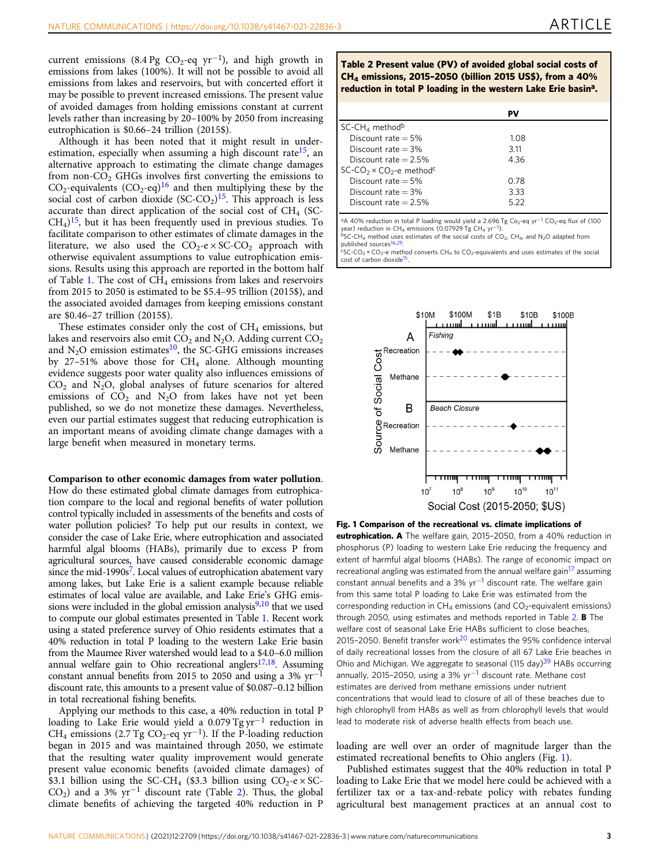<span id="page-2-0"></span>current emissions (8.4 Pg CO<sub>2</sub>-eq yr<sup>-1</sup>), and high growth in emissions from lakes (100%). It will not be possible to avoid all emissions from lakes and reservoirs, but with concerted effort it may be possible to prevent increased emissions. The present value of avoided damages from holding emissions constant at current levels rather than increasing by 20–100% by 2050 from increasing eutrophication is \$0.66–24 trillion (2015\$).

Although it has been noted that it might result in underestimation, especially when assuming a high discount rate<sup>15</sup>, an alternative approach to estimating the climate change damages from non- $CO<sub>2</sub>$  GHGs involves first converting the emissions to  $CO_2$ -equivalents  $(CO_2$ -eq)<sup>[16](#page-4-0)</sup> and then multiplying these by the social cost of carbon dioxide  $(SC-CO<sub>2</sub>)<sup>15</sup>$ . This approach is less accurate than direct application of the social cost of  $CH<sub>4</sub>$  (SC- $CH<sub>4</sub>$ <sup>15</sup>, but it has been frequently used in previous studies. To facilitate comparison to other estimates of climate damages in the literature, we also used the  $CO_2$ -e $\times$ SC-CO<sub>2</sub> approach with otherwise equivalent assumptions to value eutrophication emissions. Results using this approach are reported in the bottom half of Table [1.](#page-1-0) The cost of  $CH_4$  emissions from lakes and reservoirs from 2015 to 2050 is estimated to be \$5.4–95 trillion (2015\$), and the associated avoided damages from keeping emissions constant are \$0.46–27 trillion (2015\$).

These estimates consider only the cost of  $CH<sub>4</sub>$  emissions, but lakes and reservoirs also emit  $CO<sub>2</sub>$  and N<sub>2</sub>O. Adding current  $CO<sub>2</sub>$ and  $N_2O$  emission estimates<sup>10</sup>, the SC-GHG emissions increases by 27–51% above those for  $CH<sub>4</sub>$  alone. Although mounting evidence suggests poor water quality also influences emissions of  $CO<sub>2</sub>$  and N<sub>2</sub>O, global analyses of future scenarios for altered emissions of  $CO<sub>2</sub>$  and N<sub>2</sub>O from lakes have not yet been published, so we do not monetize these damages. Nevertheless, even our partial estimates suggest that reducing eutrophication is an important means of avoiding climate change damages with a large benefit when measured in monetary terms.

Comparison to other economic damages from water pollution. How do these estimated global climate damages from eutrophication compare to the local and regional benefits of water pollution control typically included in assessments of the benefits and costs of water pollution policies? To help put our results in context, we consider the case of Lake Erie, where eutrophication and associated harmful algal blooms (HABs), primarily due to excess P from agricultural sources, have caused considerable economic damage since the mid-1990s<sup>7</sup>. Local values of eutrophication abatement vary among lakes, but Lake Erie is a salient example because reliable estimates of local value are available, and Lake Erie's GHG emissions were included in the global emission analysis $9,10$  that we used to compute our global estimates presented in Table [1.](#page-1-0) Recent work using a stated preference survey of Ohio residents estimates that a 40% reduction in total P loading to the western Lake Erie basin from the Maumee River watershed would lead to a \$4.0–6.0 million annual welfare gain to Ohio recreational anglers $17,18$ . Assuming constant annual benefits from 2015 to 2050 and using a 3%  $yr^{-1}$ discount rate, this amounts to a present value of \$0.087–0.12 billion in total recreational fishing benefits.

Applying our methods to this case, a 40% reduction in total P loading to Lake Erie would yield a 0.079 Tg yr−<sup>1</sup> reduction in CH<sub>4</sub> emissions (2.7 Tg CO<sub>2</sub>-eq yr<sup>-1</sup>). If the P-loading reduction began in 2015 and was maintained through 2050, we estimate that the resulting water quality improvement would generate present value economic benefits (avoided climate damages) of \$3.1 billion using the SC-CH<sub>4</sub> (\$3.3 billion using CO<sub>2</sub>-e  $\times$  SC-CO<sub>2</sub>) and a 3%  $yr^{-1}$  discount rate (Table 2). Thus, the global climate benefits of achieving the targeted 40% reduction in P

Table 2 Present value (PV) of avoided global social costs of CH4 emissions, 2015–2050 (billion 2015 US\$), from a 40% reduction in total P loading in the western Lake Erie basin<sup>a</sup>.

|                                                | PV   |  |
|------------------------------------------------|------|--|
| SC-CH <sub>4</sub> method <sup>b</sup>         |      |  |
| Discount rate $=$ 5%                           | 1.08 |  |
| Discount rate $=$ 3%                           | 3.11 |  |
| Discount rate $= 2.5\%$                        | 4.36 |  |
| $SC$ - $CO2 \times CO2$ -e method <sup>c</sup> |      |  |
| Discount rate $=$ 5%                           | 0.78 |  |
| Discount rate $=$ 3%                           | 3.33 |  |
| Discount rate $= 2.5\%$                        | 5.22 |  |

<sup>a</sup>A 40% reduction in total P loading would yield a 2.696 Tg Co<sub>2</sub>-eq yr<sup>−1</sup> CO<sub>2</sub>-eq flux of (100<br>year) reduction in CH<sub>4</sub> emissions (0.07929 Tg CH<sub>4</sub> yr<sup>−1</sup>).  $b$ SC-CH<sub>4</sub> method uses estimates of the social costs of CO<sub>2</sub>, CH<sub>4</sub>, and N<sub>2</sub>O adapted from

published sources<sup>[16,29](#page-4-0)</sup>.<br>"SC-CO<sub>2</sub> × CO<sub>2</sub>-e method converts CH<sub>4</sub> to CO<sub>2</sub>-equivalents and uses estimates of the social

cost of carbon dioxide<sup>15</sup>



### Fig. 1 Comparison of the recreational vs. climate implications of eutrophication. A The welfare gain, 2015-2050, from a 40% reduction in phosphorus (P) loading to western Lake Erie reducing the frequency and extent of harmful algal blooms (HABs). The range of economic impact on recreational angling was estimated from the annual welfare gain<sup>[17](#page-4-0)</sup> assuming constant annual benefits and a 3% yr−<sup>1</sup> discount rate. The welfare gain from this same total P loading to Lake Erie was estimated from the corresponding reduction in  $CH_4$  emissions (and  $CO_2$ -equivalent emissions) through 2050, using estimates and methods reported in Table 2. **B** The welfare cost of seasonal Lake Erie HABs sufficient to close beaches, [20](#page-4-0)15-2050. Benefit transfer work<sup>20</sup> estimates the 95% confidence interval of daily recreational losses from the closure of all 67 Lake Erie beaches in Ohio and Michigan. We aggregate to seasonal (115 day)<sup>39</sup> HABs occurring annually, 2015–2050, using a 3% yr−<sup>1</sup> discount rate. Methane cost estimates are derived from methane emissions under nutrient concentrations that would lead to closure of all of these beaches due to high chlorophyll from HABs as well as from chlorophyll levels that would lead to moderate risk of adverse health effects from beach use.

loading are well over an order of magnitude larger than the estimated recreational benefits to Ohio anglers (Fig. 1).

Published estimates suggest that the 40% reduction in total P loading to Lake Erie that we model here could be achieved with a fertilizer tax or a tax-and-rebate policy with rebates funding agricultural best management practices at an annual cost to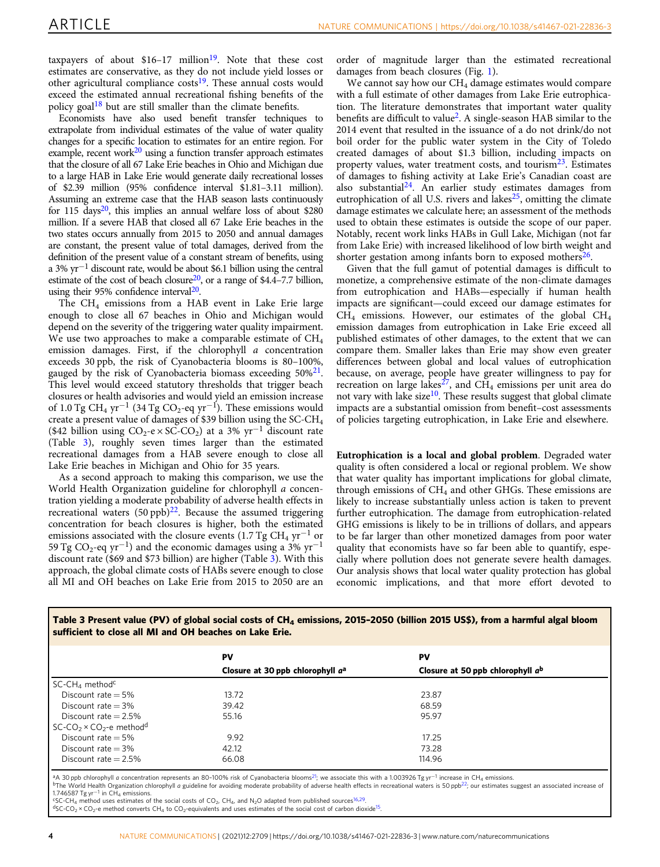<span id="page-3-0"></span>taxpayers of about  $$16-17$  million<sup>[19](#page-4-0)</sup>. Note that these cost estimates are conservative, as they do not include yield losses or other agricultural compliance costs<sup>[19](#page-4-0)</sup>. These annual costs would exceed the estimated annual recreational fishing benefits of the policy goal<sup>[18](#page-4-0)</sup> but are still smaller than the climate benefits.

Economists have also used benefit transfer techniques to extrapolate from individual estimates of the value of water quality changes for a specific location to estimates for an entire region. For example, recent work $20$  using a function transfer approach estimates that the closure of all 67 Lake Erie beaches in Ohio and Michigan due to a large HAB in Lake Erie would generate daily recreational losses of \$2.39 million (95% confidence interval \$1.81–3.11 million). Assuming an extreme case that the HAB season lasts continuously for 115 days $20$ , this implies an annual welfare loss of about \$280 million. If a severe HAB that closed all 67 Lake Erie beaches in the two states occurs annually from 2015 to 2050 and annual damages are constant, the present value of total damages, derived from the definition of the present value of a constant stream of benefits, using a 3% yr−<sup>1</sup> discount rate, would be about \$6.1 billion using the central estimate of the cost of beach closure<sup>20</sup>, or a range of \$4.4–7.7 billion, using their 95% confidence interval $20$ .

The CH<sub>4</sub> emissions from a HAB event in Lake Erie large enough to close all 67 beaches in Ohio and Michigan would depend on the severity of the triggering water quality impairment. We use two approaches to make a comparable estimate of  $CH<sub>4</sub>$ emission damages. First, if the chlorophyll a concentration exceeds 30 ppb, the risk of Cyanobacteria blooms is 80–100%, gauged by the risk of Cyanobacteria biomass exceeding 50%<sup>21</sup>. This level would exceed statutory thresholds that trigger beach closures or health advisories and would yield an emission increase of 1.0 Tg CH<sub>4</sub> yr<sup>-1</sup> (34 Tg CO<sub>2</sub>-eq yr<sup>-1</sup>). These emissions would create a present value of damages of \$39 billion using the SC-CH4 (\$42 billion using  $CO_2$ -e × SC-CO<sub>2</sub>) at a 3% yr<sup>-1</sup> discount rate (Table 3), roughly seven times larger than the estimated recreational damages from a HAB severe enough to close all Lake Erie beaches in Michigan and Ohio for 35 years.

As a second approach to making this comparison, we use the World Health Organization guideline for chlorophyll a concentration yielding a moderate probability of adverse health effects in recreational waters  $(50 \text{ pb})^{22}$ . Because the assumed triggering concentration for beach closures is higher, both the estimated emissions associated with the closure events (1.7 Tg CH<sub>4</sub> yr<sup>-1</sup> or 59 Tg CO<sub>2</sub>-eq yr<sup>-1</sup>) and the economic damages using a 3% yr<sup>-1</sup> discount rate (\$69 and \$73 billion) are higher (Table 3). With this approach, the global climate costs of HABs severe enough to close all MI and OH beaches on Lake Erie from 2015 to 2050 are an

order of magnitude larger than the estimated recreational damages from beach closures (Fig. [1](#page-2-0)).

We cannot say how our  $CH<sub>4</sub>$  damage estimates would compare with a full estimate of other damages from Lake Erie eutrophication. The literature demonstrates that important water quality benefits are difficult to value[2](#page-4-0). A single-season HAB similar to the 2014 event that resulted in the issuance of a do not drink/do not boil order for the public water system in the City of Toledo created damages of about \$1.3 billion, including impacts on property values, water treatment costs, and tourism $^{23}$  $^{23}$  $^{23}$ . Estimates of damages to fishing activity at Lake Erie's Canadian coast are also substantial<sup>[24](#page-4-0)</sup>. An earlier study estimates damages from eutrophication of all U.S. rivers and lakes $25$ , omitting the climate damage estimates we calculate here; an assessment of the methods used to obtain these estimates is outside the scope of our paper. Notably, recent work links HABs in Gull Lake, Michigan (not far from Lake Erie) with increased likelihood of low birth weight and shorter gestation among infants born to exposed mothers<sup>26</sup>.

Given that the full gamut of potential damages is difficult to monetize, a comprehensive estimate of the non-climate damages from eutrophication and HABs—especially if human health impacts are significant—could exceed our damage estimates for  $CH<sub>4</sub>$  emissions. However, our estimates of the global  $CH<sub>4</sub>$ emission damages from eutrophication in Lake Erie exceed all published estimates of other damages, to the extent that we can compare them. Smaller lakes than Erie may show even greater differences between global and local values of eutrophication because, on average, people have greater willingness to pay for recreation on large lakes<sup> $27$ </sup>, and CH<sub>4</sub> emissions per unit area do not vary with lake size<sup>10</sup>. These results suggest that global climate impacts are a substantial omission from benefit–cost assessments of policies targeting eutrophication, in Lake Erie and elsewhere.

Eutrophication is a local and global problem. Degraded water quality is often considered a local or regional problem. We show that water quality has important implications for global climate, through emissions of  $CH<sub>4</sub>$  and other GHGs. These emissions are likely to increase substantially unless action is taken to prevent further eutrophication. The damage from eutrophication-related GHG emissions is likely to be in trillions of dollars, and appears to be far larger than other monetized damages from poor water quality that economists have so far been able to quantify, especially where pollution does not generate severe health damages. Our analysis shows that local water quality protection has global economic implications, and that more effort devoted to

| Table 3 Present value (PV) of global social costs of $CH4$ emissions, 2015-2050 (billion 2015 US\$), from a harmful algal bloom |  |
|---------------------------------------------------------------------------------------------------------------------------------|--|
| sufficient to close all MI and OH beaches on Lake Erie.                                                                         |  |

|                                                             | PV                                           | PV                                  |  |
|-------------------------------------------------------------|----------------------------------------------|-------------------------------------|--|
|                                                             | Closure at 30 ppb chlorophyll a <sup>a</sup> | Closure at 50 ppb chlorophyll $a^b$ |  |
| SC-CH <sub>4</sub> method <sup>c</sup>                      |                                              |                                     |  |
| Discount rate $=$ 5%                                        | 13.72                                        | 23.87                               |  |
| Discount rate $=$ 3%                                        | 39.42                                        | 68.59                               |  |
| Discount rate $= 2.5\%$                                     | 55.16                                        | 95.97                               |  |
| SC-CO <sub>2</sub> × CO <sub>2</sub> -e method <sup>d</sup> |                                              |                                     |  |
| Discount rate $=$ 5%                                        | 9.92                                         | 17.25                               |  |
| Discount rate $=$ 3%                                        | 42.12                                        | 73.28                               |  |
| Discount rate $= 2.5\%$                                     | 66.08                                        | 114.96                              |  |
|                                                             |                                              |                                     |  |

<sup>a</sup>A 30 ppb chlorophyll a concentration represents an 80-100% risk of Cyanobacteria blooms<sup>21</sup>; we associate this with a 1.003926 Tgyr<sup>-1</sup> increase in CH<sub>4</sub> emissions.<br><sup>b</sup>The World Health Organization chlorophyll a guideli

1.746587 Tg yr<sup>-1</sup> in CH<sub>4</sub> emissions.<br><sup>4</sup>SC-CH<sub>4</sub> method uses estimates of the social costs of CO<sub>2</sub>, CH<sub>4</sub>, and N<sub>2</sub>O adapted from published sources<sup>[16,29](#page-4-0)</sup>.<br><sup>4</sup>SC-CO<sub>2</sub> × CO<sub>2</sub>-e method converts CH<sub>4</sub> to CO<sub>2</sub>-equivalen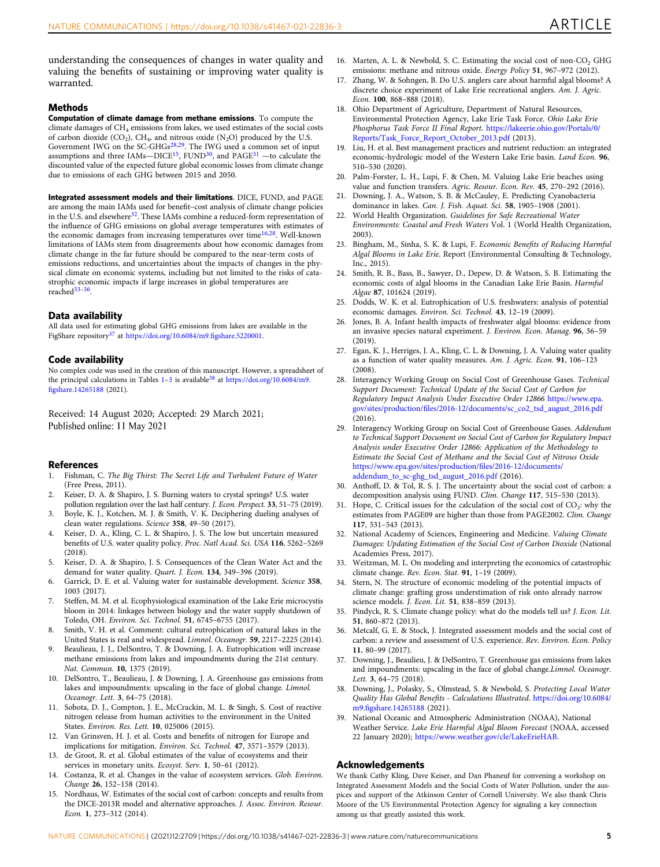<span id="page-4-0"></span>understanding the consequences of changes in water quality and valuing the benefits of sustaining or improving water quality is warranted.

#### **Methods**

Computation of climate damage from methane emissions. To compute the climate damages of  $CH_4$  emissions from lakes, we used estimates of the social costs of carbon dioxide (CO<sub>2</sub>), CH<sub>4</sub>, and nitrous oxide (N<sub>2</sub>O) produced by the U.S.<br>Government IWG on the SC-GHGs<sup>28,29</sup>. The IWG used a common set of input assumptions and three IAMs-DICE<sup>15</sup>, FUND<sup>30</sup>, and PAGE<sup>31</sup> - to calculate the discounted value of the expected future global economic losses from climate change due to emissions of each GHG between 2015 and 2050.

Integrated assessment models and their limitations. DICE, FUND, and PAGE are among the main IAMs used for benefit–cost analysis of climate change policies in the U.S. and elsewhere<sup>32</sup>. These IAMs combine a reduced-form representation of the influence of GHG emissions on global average temperatures with estimates of the economic damages from increasing temperatures over time<sup>16,28</sup>. Well-known limitations of IAMs stem from disagreements about how economic damages from climate change in the far future should be compared to the near-term costs of emissions reductions, and uncertainties about the impacts of changes in the physical climate on economic systems, including but not limited to the risks of catastrophic economic impacts if large increases in global temperatures are reached33–36.

#### Data availability

All data used for estimating global GHG emissions from lakes are available in the FigShare repository<sup>37</sup> at [https://doi.org/10.6084/m9.](https://doi.org/10.6084/m9.figshare.5220001)figshare.5220001.

#### Code availability

No complex code was used in the creation of this manuscript. However, a spreadsheet of the principal calculations in Tables  $1-3$  $1-3$  $1-3$  is available<sup>38</sup> at [https://doi.org/10.6084/m9.](https://doi.org/10.6084/m9.figshare.14265188) fi[gshare.14265188](https://doi.org/10.6084/m9.figshare.14265188) (2021).

Received: 14 August 2020; Accepted: 29 March 2021; Published online: 11 May 2021

#### References

- 1. Fishman, C. The Big Thirst: The Secret Life and Turbulent Future of Water (Free Press, 2011).
- 2. Keiser, D. A. & Shapiro, J. S. Burning waters to crystal springs? U.S. water
- pollution regulation over the last half century. J. Econ. Perspect. 33, 51–75 (2019). 3. Boyle, K. J., Kotchen, M. J. & Smith, V. K. Deciphering dueling analyses of clean water regulations. Science 358, 49–50 (2017).
- 4. Keiser, D. A., Kling, C. L. & Shapiro, J. S. The low but uncertain measured benefits of U.S. water quality policy. Proc. Natl Acad. Sci. USA 116, 5262–5269 (2018).
- 5. Keiser, D. A. & Shapiro, J. S. Consequences of the Clean Water Act and the demand for water quality. Quart. J. Econ. 134, 349–396 (2019).
- 6. Garrick, D. E. et al. Valuing water for sustainable development. Science 358, 1003 (2017).
- 7. Steffen, M. M. et al. Ecophysiological examination of the Lake Erie microcystis bloom in 2014: linkages between biology and the water supply shutdown of Toledo, OH. Environ. Sci. Technol. 51, 6745–6755 (2017).
- 8. Smith, V. H. et al. Comment: cultural eutrophication of natural lakes in the United States is real and widespread. Limnol. Oceanogr. 59, 2217–2225 (2014).
- 9. Beaulieau, J. J., DelSontro, T. & Downing, J. A. Eutrophication will increase methane emissions from lakes and impoundments during the 21st century. Nat. Commun. 10, 1375 (2019).
- 10. DelSontro, T., Beaulieau, J. & Downing, J. A. Greenhouse gas emissions from lakes and impoundments: upscaling in the face of global change. Limnol. Oceanogr. Lett. 3, 64–75 (2018).
- 11. Sobota, D. J., Compton, J. E., McCrackin, M. L. & Singh, S. Cost of reactive nitrogen release from human activities to the environment in the United States. Environ. Res. Lett. 10, 025006 (2015).
- Van Grinsven, H. J. et al. Costs and benefits of nitrogen for Europe and implications for mitigation. Environ. Sci. Technol. 47, 3571–3579 (2013).
- 13. de Groot, R. et al. Global estimates of the value of ecosystems and their services in monetary units. Ecosyst. Serv. 1, 50-61 (2012).
- 14. Costanza, R. et al. Changes in the value of ecosystem services. Glob. Environ. Change 26, 152–158 (2014).
- 15. Nordhaus, W. Estimates of the social cost of carbon: concepts and results from the DICE-2013R model and alternative approaches. J. Assoc. Environ. Resour. Econ. 1, 273–312 (2014).
- 16. Marten, A. L. & Newbold, S. C. Estimating the social cost of non- $CO<sub>2</sub>$  GHG emissions: methane and nitrous oxide. Energy Policy 51, 967–972 (2012).
- 17. Zhang, W. & Sohngen, B. Do U.S. anglers care about harmful algal blooms? A discrete choice experiment of Lake Erie recreational anglers. Am. J. Agric. Econ. 100, 868–888 (2018).
- 18. Ohio Department of Agriculture, Department of Natural Resources, Environmental Protection Agency, Lake Erie Task Force. Ohio Lake Erie Phosphorus Task Force II Final Report. [https://lakeerie.ohio.gov/Portals/0/](https://lakeerie.ohio.gov/Portals/0/Reports/Task_Force_Report_October_2013.pdf) [Reports/Task\\_Force\\_Report\\_October\\_2013.pdf](https://lakeerie.ohio.gov/Portals/0/Reports/Task_Force_Report_October_2013.pdf) (2013).
- 19. Liu, H. et al. Best management practices and nutrient reduction: an integrated economic-hydrologic model of the Western Lake Erie basin. Land Econ. 96, 510–530 (2020).
- 20. Palm-Forster, L. H., Lupi, F. & Chen, M. Valuing Lake Erie beaches using value and function transfers. Agric. Resour. Econ. Rev. 45, 270–292 (2016).
- 21. Downing, J. A., Watson, S. B. & McCauley, E. Predicting Cyanobacteria dominance in lakes. Can. J. Fish. Aquat. Sci. 58, 1905–1908 (2001).
- 22. World Health Organization. Guidelines for Safe Recreational Water Environments: Coastal and Fresh Waters Vol. 1 (World Health Organization, 2003).
- 23. Bingham, M., Sinha, S. K. & Lupi, F. Economic Benefits of Reducing Harmful Algal Blooms in Lake Erie. Report (Environmental Consulting & Technology, Inc., 2015).
- 24. Smith, R. B., Bass, B., Sawyer, D., Depew, D. & Watson, S. B. Estimating the economic costs of algal blooms in the Canadian Lake Erie Basin. Harmful Algae 87, 101624 (2019).
- 25. Dodds, W. K. et al. Eutrophication of U.S. freshwaters: analysis of potential economic damages. Environ. Sci. Technol. 43, 12–19 (2009).
- 26. Jones, B. A. Infant health impacts of freshwater algal blooms: evidence from an invasive species natural experiment. J. Environ. Econ. Manag. 96, 36–59  $(2019)$
- 27. Egan, K. J., Herriges, J. A., Kling, C. L. & Downing, J. A. Valuing water quality as a function of water quality measures. Am. J. Agric. Econ. 91, 106–123  $(2008)$
- 28. Interagency Working Group on Social Cost of Greenhouse Gases. Technical Support Document: Technical Update of the Social Cost of Carbon for Regulatory Impact Analysis Under Executive Order 12866 [https://www.epa.](https://www.epa.gov/sites/production/files/2016-12/documents/sc_co2_tsd_august_2016.pdf) gov/sites/production/fi[les/2016-12/documents/sc\\_co2\\_tsd\\_august\\_2016.pdf](https://www.epa.gov/sites/production/files/2016-12/documents/sc_co2_tsd_august_2016.pdf) (2016).
- 29. Interagency Working Group on Social Cost of Greenhouse Gases. Addendum to Technical Support Document on Social Cost of Carbon for Regulatory Impact Analysis under Executive Order 12866: Application of the Methodology to Estimate the Social Cost of Methane and the Social Cost of Nitrous Oxide [https://www.epa.gov/sites/production/](https://www.epa.gov/sites/production/files/2016-12/documents/addendum_to_sc-ghg_tsd_august_2016.pdf)files/2016-12/documents/ [addendum\\_to\\_sc-ghg\\_tsd\\_august\\_2016.pdf](https://www.epa.gov/sites/production/files/2016-12/documents/addendum_to_sc-ghg_tsd_august_2016.pdf) (2016).
- 30. Anthoff, D. & Tol, R. S. J. The uncertainty about the social cost of carbon: a decomposition analysis using FUND. Clim. Change 117, 515–530 (2013).
- 31. Hope, C. Critical issues for the calculation of the social cost of  $CO_2$ : why the estimates from PAGE09 are higher than those from PAGE2002. Clim. Change 117, 531–543 (2013).
- 32. National Academy of Sciences, Engineering and Medicine. Valuing Climate Damages: Updating Estimation of the Social Cost of Carbon Dioxide (National Academies Press, 2017).
- 33. Weitzman, M. L. On modeling and interpreting the economics of catastrophic climate change. Rev. Econ. Stat. 91, 1–19 (2009).
- 34. Stern, N. The structure of economic modeling of the potential impacts of climate change: grafting gross understimation of risk onto already narrow science models. J. Econ. Lit. 51, 838–859 (2013).
- 35. Pindyck, R. S. Climate change policy: what do the models tell us? J. Econ. Lit. 51, 860–872 (2013).
- 36. Metcalf, G. E. & Stock, J. Integrated assessment models and the social cost of carbon: a review and assessment of U.S. experience. Rev. Environ. Econ. Policy 11, 80–99 (2017).
- 37. Downing, J., Beaulieu, J. & DelSontro, T. Greenhouse gas emissions from lakes and impoundments: upscaling in the face of global change.Limnol. Oceanogr. Lett. 3, 64–75 (2018).
- 38. Downing, J., Polasky, S., Olmstead, S. & Newbold, S. Protecting Local Water Quality Has Global Benefits - Calculations Illustrated. [https://doi.org/10.6084/](https://doi.org/10.6084/m9.figshare.14265188) m9.fi[gshare.14265188](https://doi.org/10.6084/m9.figshare.14265188) (2021).
- 39. National Oceanic and Atmospheric Administration (NOAA), National Weather Service. Lake Erie Harmful Algal Bloom Forecast (NOAA, accessed 22 January 2020); [https://www.weather.gov/cle/LakeErieHAB.](https://www.weather.gov/cle/LakeErieHAB)

#### Acknowledgements

We thank Cathy Kling, Dave Keiser, and Dan Phaneuf for convening a workshop on Integrated Assessment Models and the Social Costs of Water Pollution, under the auspices and support of the Atkinson Center of Cornell University. We also thank Chris Moore of the US Environmental Protection Agency for signaling a key connection among us that greatly assisted this work.